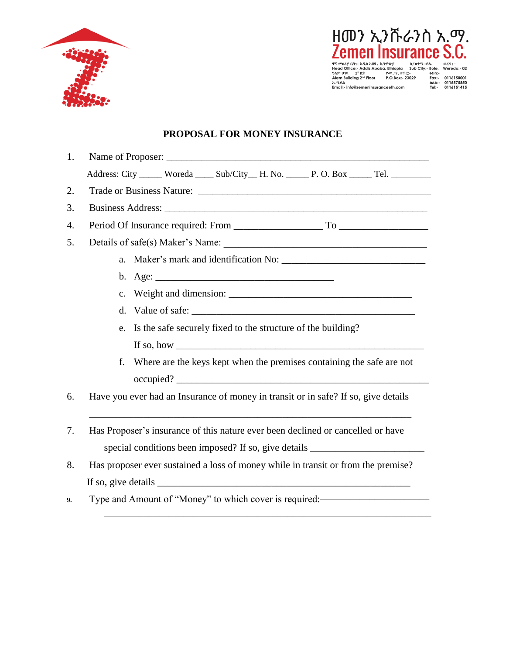



## **PROPOSAL FOR MONEY INSURANCE**

| 1. |                                                                                                                                                                                                                                                                                                                                                                                                                   |  |  |  |  |  |
|----|-------------------------------------------------------------------------------------------------------------------------------------------------------------------------------------------------------------------------------------------------------------------------------------------------------------------------------------------------------------------------------------------------------------------|--|--|--|--|--|
|    | Address: City _____ Woreda ____ Sub/City __ H. No. _____ P. O. Box _____ Tel. _________                                                                                                                                                                                                                                                                                                                           |  |  |  |  |  |
| 2. |                                                                                                                                                                                                                                                                                                                                                                                                                   |  |  |  |  |  |
| 3. |                                                                                                                                                                                                                                                                                                                                                                                                                   |  |  |  |  |  |
| 4. |                                                                                                                                                                                                                                                                                                                                                                                                                   |  |  |  |  |  |
| 5. |                                                                                                                                                                                                                                                                                                                                                                                                                   |  |  |  |  |  |
|    |                                                                                                                                                                                                                                                                                                                                                                                                                   |  |  |  |  |  |
|    |                                                                                                                                                                                                                                                                                                                                                                                                                   |  |  |  |  |  |
|    |                                                                                                                                                                                                                                                                                                                                                                                                                   |  |  |  |  |  |
|    | e. Is the safe securely fixed to the structure of the building?                                                                                                                                                                                                                                                                                                                                                   |  |  |  |  |  |
|    | If so, how $\overline{\phantom{a}}$                                                                                                                                                                                                                                                                                                                                                                               |  |  |  |  |  |
|    | Where are the keys kept when the premises containing the safe are not<br>f.                                                                                                                                                                                                                                                                                                                                       |  |  |  |  |  |
|    |                                                                                                                                                                                                                                                                                                                                                                                                                   |  |  |  |  |  |
| 6. | Have you ever had an Insurance of money in transit or in safe? If so, give details                                                                                                                                                                                                                                                                                                                                |  |  |  |  |  |
| 7. | the control of the control of the control of the control of the control of the control of the control of the control of the control of the control of the control of the control of the control of the control of the control<br>Has Proposer's insurance of this nature ever been declined or cancelled or have                                                                                                  |  |  |  |  |  |
|    | special conditions been imposed? If so, give details ____________________________                                                                                                                                                                                                                                                                                                                                 |  |  |  |  |  |
| 8. | Has proposer ever sustained a loss of money while in transit or from the premise?                                                                                                                                                                                                                                                                                                                                 |  |  |  |  |  |
|    | If so, give details $\frac{1}{\sqrt{1-\frac{1}{\sqrt{1-\frac{1}{\sqrt{1-\frac{1}{\sqrt{1-\frac{1}{\sqrt{1-\frac{1}{\sqrt{1-\frac{1}{\sqrt{1-\frac{1}{\sqrt{1-\frac{1}{\sqrt{1-\frac{1}{\sqrt{1-\frac{1}{\sqrt{1-\frac{1}{\sqrt{1-\frac{1}{\sqrt{1-\frac{1}{\sqrt{1-\frac{1}{\sqrt{1-\frac{1}{\sqrt{1-\frac{1}{\sqrt{1-\frac{1}{\sqrt{1-\frac{1}{\sqrt{1-\frac{1}{\sqrt{1-\frac{1}{\sqrt{1-\frac{1}{\sqrt{1-\frac$ |  |  |  |  |  |
| 9. | Type and Amount of "Money" to which cover is required: <b>contain the analytical</b>                                                                                                                                                                                                                                                                                                                              |  |  |  |  |  |

––––––––––––––––––––––––––––––––––––––––––––––––––––––––––––––––––